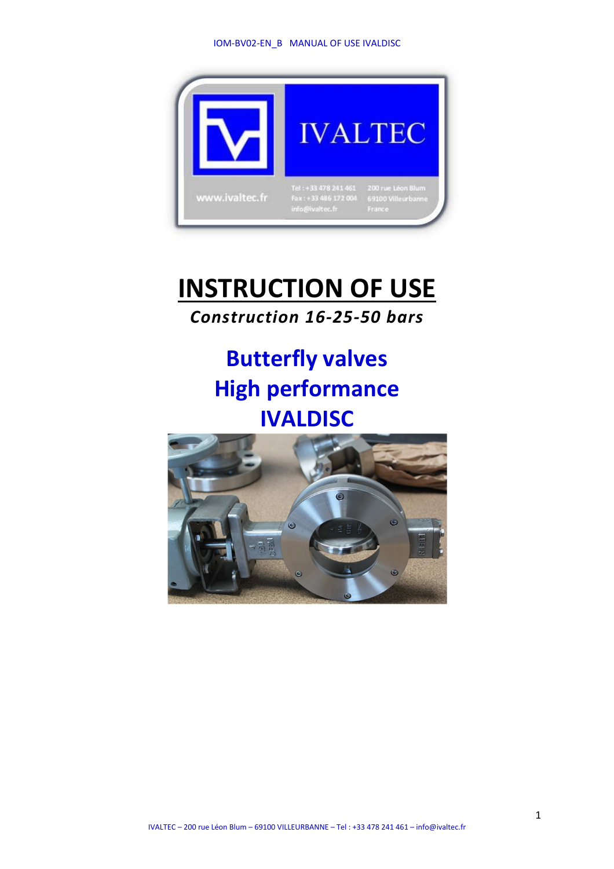#### IOM-BV02-EN\_B MANUAL OF USE IVALDISC



# **INSTRUCTION OF USE**  *Construction 16-25-50 bars*

# **Butterfly valves High performance IVALDISC**

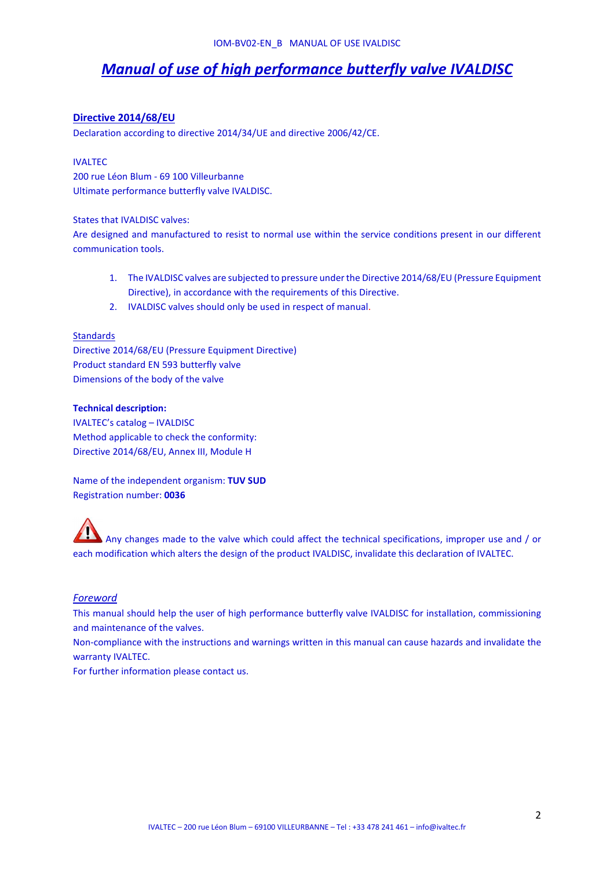# *Manual of use of high performance butterfly valve IVALDISC*

# **Directive 2014/68/EU**

Declaration according to directive 2014/34/UE and directive 2006/42/CE.

#### IVALTEC

200 rue Léon Blum - 69 100 Villeurbanne Ultimate performance butterfly valve IVALDISC.

#### States that IVALDISC valves:

Are designed and manufactured to resist to normal use within the service conditions present in our different communication tools.

- 1. The IVALDISC valves are subjected to pressure under the Directive 2014/68/EU (Pressure Equipment Directive), in accordance with the requirements of this Directive.
- 2. IVALDISC valves should only be used in respect of manual.

#### **Standards**

Directive 2014/68/EU (Pressure Equipment Directive) Product standard EN 593 butterfly valve Dimensions of the body of the valve

## **Technical description:**

IVALTEC's catalog – IVALDISC Method applicable to check the conformity: Directive 2014/68/EU, Annex III, Module H

Name of the independent organism: **TUV SUD** Registration number: **0036**

 Any changes made to the valve which could affect the technical specifications, improper use and / or each modification which alters the design of the product IVALDISC, invalidate this declaration of IVALTEC.

# *Foreword*

This manual should help the user of high performance butterfly valve IVALDISC for installation, commissioning and maintenance of the valves.

Non-compliance with the instructions and warnings written in this manual can cause hazards and invalidate the warranty IVALTEC.

For further information please contact us.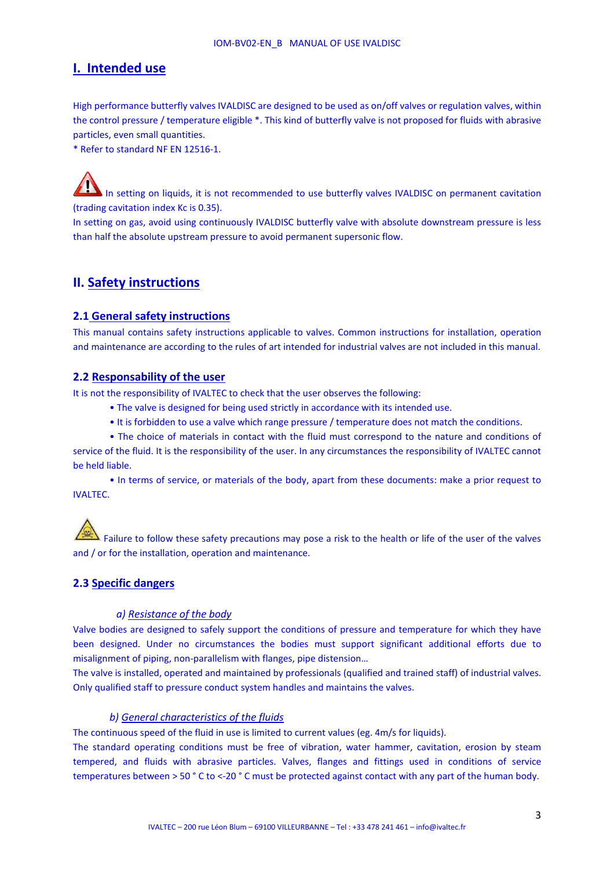# **I. Intended use**

High performance butterfly valves IVALDISC are designed to be used as on/off valves or regulation valves, within the control pressure / temperature eligible \*. This kind of butterfly valve is not proposed for fluids with abrasive particles, even small quantities.

\* Refer to standard NF EN 12516-1.

In setting on liquids, it is not recommended to use butterfly valves IVALDISC on permanent cavitation (trading cavitation index Kc is 0.35).

In setting on gas, avoid using continuously IVALDISC butterfly valve with absolute downstream pressure is less than half the absolute upstream pressure to avoid permanent supersonic flow.

# **II. Safety instructions**

## **2.1 General safety instructions**

This manual contains safety instructions applicable to valves. Common instructions for installation, operation and maintenance are according to the rules of art intended for industrial valves are not included in this manual.

#### **2.2 Responsability of the user**

It is not the responsibility of IVALTEC to check that the user observes the following:

- The valve is designed for being used strictly in accordance with its intended use.
- It is forbidden to use a valve which range pressure / temperature does not match the conditions.

• The choice of materials in contact with the fluid must correspond to the nature and conditions of service of the fluid. It is the responsibility of the user. In any circumstances the responsibility of IVALTEC cannot be held liable.

• In terms of service, or materials of the body, apart from these documents: make a prior request to IVALTEC.

 $\blacktriangle$  Failure to follow these safety precautions may pose a risk to the health or life of the user of the valves and / or for the installation, operation and maintenance.

# **2.3 Specific dangers**

#### *a) Resistance of the body*

Valve bodies are designed to safely support the conditions of pressure and temperature for which they have been designed. Under no circumstances the bodies must support significant additional efforts due to misalignment of piping, non-parallelism with flanges, pipe distension…

The valve is installed, operated and maintained by professionals (qualified and trained staff) of industrial valves. Only qualified staff to pressure conduct system handles and maintains the valves.

## *b) General characteristics of the fluids*

The continuous speed of the fluid in use is limited to current values (eg. 4m/s for liquids).

The standard operating conditions must be free of vibration, water hammer, cavitation, erosion by steam tempered, and fluids with abrasive particles. Valves, flanges and fittings used in conditions of service temperatures between > 50 ° C to <-20 ° C must be protected against contact with any part of the human body.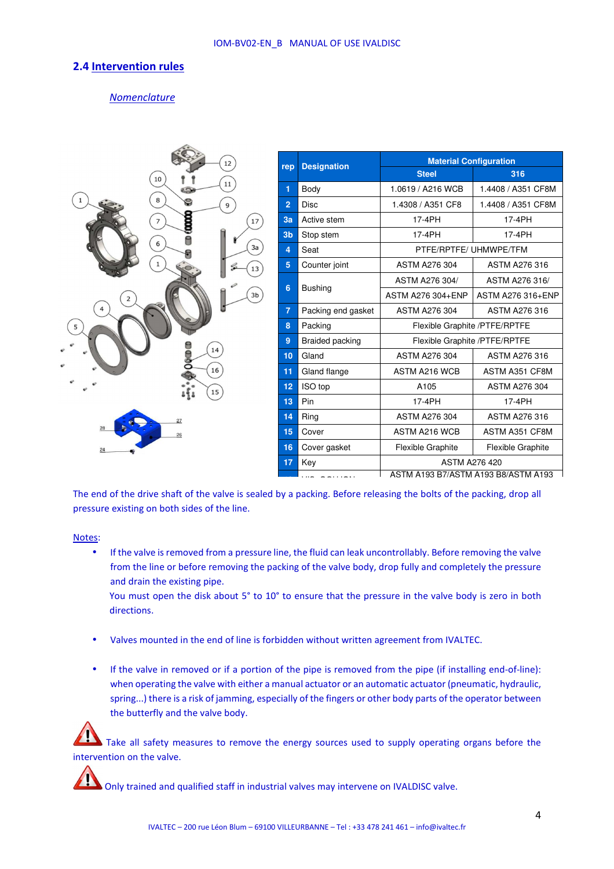# **2.4 Intervention rules**

# *Nomenclature*



| rep            | <b>Designation</b> | <b>Material Configuration</b>       |                          |  |
|----------------|--------------------|-------------------------------------|--------------------------|--|
|                |                    | <b>Steel</b>                        | 316                      |  |
| 1              | Body               | 1.0619 / A216 WCB                   | 1.4408 / A351 CF8M       |  |
| $\overline{2}$ | <b>Disc</b>        | 1.4308 / A351 CF8                   | 1.4408 / A351 CF8M       |  |
| 3a             | Active stem        | 17-4PH                              | 17-4PH                   |  |
| 3 <sub>b</sub> | Stop stem          | 17-4PH                              | 17-4PH                   |  |
| 4              | Seat               | PTFE/RPTFE/ UHMWPE/TFM              |                          |  |
| 5              | Counter joint      | <b>ASTM A276 304</b>                | <b>ASTM A276 316</b>     |  |
| 6              | <b>Bushing</b>     | ASTM A276 304/                      | ASTM A276 316/           |  |
|                |                    | ASTM A276 304+ENP                   | ASTM A276 316+ENP        |  |
| $\overline{7}$ | Packing end gasket | <b>ASTM A276 304</b>                | <b>ASTM A276 316</b>     |  |
| 8              | Packing            | Flexible Graphite /PTFE/RPTFE       |                          |  |
| 9              | Braided packing    | Flexible Graphite /PTFE/RPTFE       |                          |  |
| 10             | Gland              | <b>ASTM A276 304</b>                | ASTM A276 316            |  |
| 11             | Gland flange       | ASTM A216 WCB                       | ASTM A351 CF8M           |  |
| 12             | ISO top            | A105                                | <b>ASTM A276 304</b>     |  |
| 13             | Pin                | 17-4PH                              | 17-4PH                   |  |
| 14             | Ring               | <b>ASTM A276 304</b>                | <b>ASTM A276 316</b>     |  |
| 15             | Cover              | <b>ASTM A216 WCB</b>                | ASTM A351 CF8M           |  |
| 16             | Cover gasket       | <b>Flexible Graphite</b>            | <b>Flexible Graphite</b> |  |
| 17             | Key                | <b>ASTM A276 420</b>                |                          |  |
|                |                    | ASTM A193 B7/ASTM A193 B8/ASTM A193 |                          |  |

The end of the drive shaft of the valve is sealed by a packing. Before releasing the bolts of the packing, drop all pressure existing on both sides of the line.

Notes:

• If the valve is removed from a pressure line, the fluid can leak uncontrollably. Before removing the valve from the line or before removing the packing of the valve body, drop fully and completely the pressure and drain the existing pipe.

You must open the disk about 5° to 10° to ensure that the pressure in the valve body is zero in both directions.

- Valves mounted in the end of line is forbidden without written agreement from IVALTEC.
- If the valve in removed or if a portion of the pipe is removed from the pipe (if installing end-of-line): when operating the valve with either a manual actuator or an automatic actuator (pneumatic, hydraulic, spring...) there is a risk of jamming, especially of the fingers or other body parts of the operator between the butterfly and the valve body.

Take all safety measures to remove the energy sources used to supply operating organs before the intervention on the valve.



Only trained and qualified staff in industrial valves may intervene on IVALDISC valve.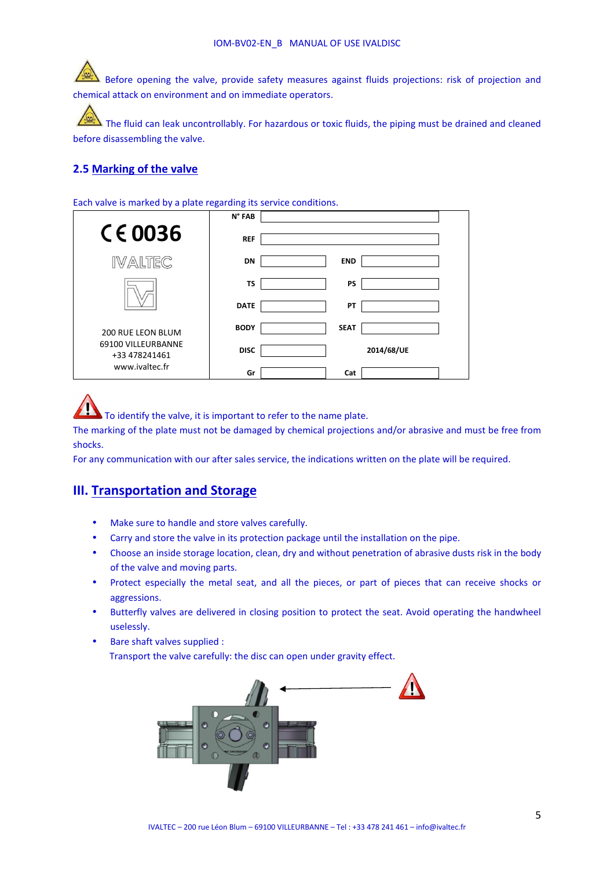Before opening the valve, provide safety measures against fluids projections: risk of projection and chemical attack on environment and on immediate operators.

 The fluid can leak uncontrollably. For hazardous or toxic fluids, the piping must be drained and cleaned before disassembling the valve.

# **2.5 Marking of the valve**

Each valve is marked by a plate regarding its service conditions.

|                                     | N° FAB      |             |            |  |
|-------------------------------------|-------------|-------------|------------|--|
| $C \in 0036$                        | <b>REF</b>  |             |            |  |
| IVALTEC                             | <b>DN</b>   | <b>END</b>  |            |  |
|                                     | <b>TS</b>   | <b>PS</b>   |            |  |
|                                     | <b>DATE</b> | PT          |            |  |
| <b>200 RUE LEON BLUM</b>            | <b>BODY</b> | <b>SEAT</b> |            |  |
| 69100 VILLEURBANNE<br>+33 478241461 | <b>DISC</b> |             | 2014/68/UE |  |
| www.ivaltec.fr                      | Gr          | Cat         |            |  |

To identify the valve, it is important to refer to the name plate.

The marking of the plate must not be damaged by chemical projections and/or abrasive and must be free from shocks.

For any communication with our after sales service, the indications written on the plate will be required.

# **III. Transportation and Storage**

- Make sure to handle and store valves carefully.
- Carry and store the valve in its protection package until the installation on the pipe.
- Choose an inside storage location, clean, dry and without penetration of abrasive dusts risk in the body of the valve and moving parts.
- Protect especially the metal seat, and all the pieces, or part of pieces that can receive shocks or aggressions.
- Butterfly valves are delivered in closing position to protect the seat. Avoid operating the handwheel uselessly.
- Bare shaft valves supplied : Transport the valve carefully: the disc can open under gravity effect.

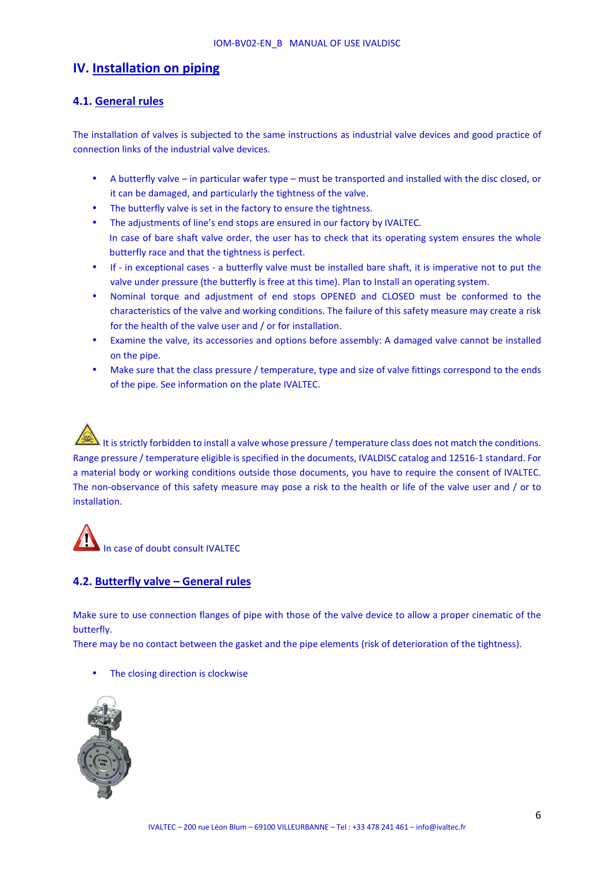# **IV. Installation on piping**

# **4.1. General rules**

The installation of valves is subjected to the same instructions as industrial valve devices and good practice of connection links of the industrial valve devices.

- A butterfly valve in particular wafer type must be transported and installed with the disc closed, or it can be damaged, and particularly the tightness of the valve.
- The butterfly valve is set in the factory to ensure the tightness.
- The adjustments of line's end stops are ensured in our factory by IVALTEC. In case of bare shaft valve order, the user has to check that its operating system ensures the whole butterfly race and that the tightness is perfect.
- If in exceptional cases a butterfly valve must be installed bare shaft, it is imperative not to put the valve under pressure (the butterfly is free at this time). Plan to Install an operating system.
- Nominal torque and adjustment of end stops OPENED and CLOSED must be conformed to the characteristics of the valve and working conditions. The failure of this safety measure may create a risk for the health of the valve user and / or for installation.
- Examine the valve, its accessories and options before assembly: A damaged valve cannot be installed on the pipe.
- Make sure that the class pressure / temperature, type and size of valve fittings correspond to the ends of the pipe. See information on the plate IVALTEC.

It is strictly forbidden to install a valve whose pressure / temperature class does not match the conditions. Range pressure / temperature eligible is specified in the documents, IVALDISC catalog and 12516-1 standard. For a material body or working conditions outside those documents, you have to require the consent of IVALTEC. The non-observance of this safety measure may pose a risk to the health or life of the valve user and / or to installation.

# In case of doubt consult IVALTEC

# **4.2. Butterfly valve – General rules**

Make sure to use connection flanges of pipe with those of the valve device to allow a proper cinematic of the butterfly.

There may be no contact between the gasket and the pipe elements (risk of deterioration of the tightness).

The closing direction is clockwise

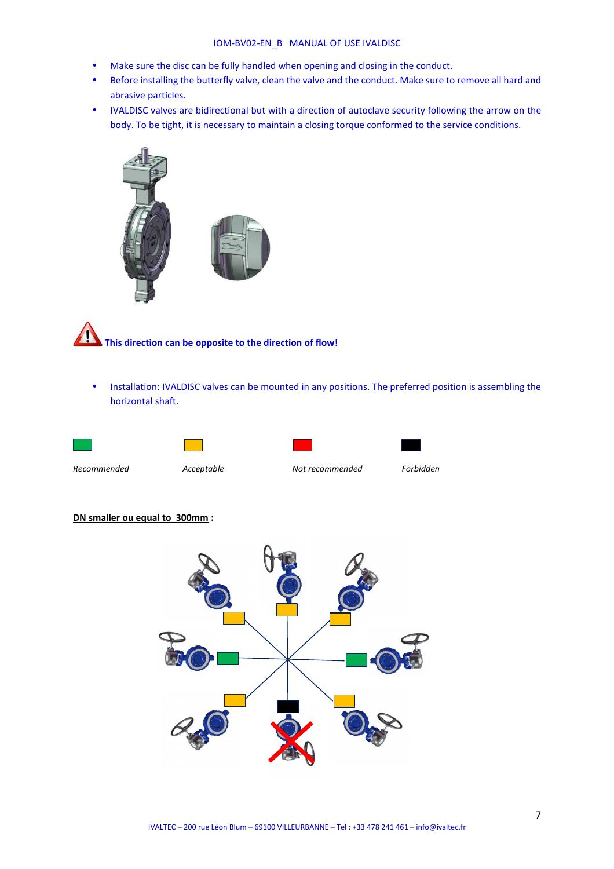#### IOM-BV02-EN\_B MANUAL OF USE IVALDISC

- Make sure the disc can be fully handled when opening and closing in the conduct.
- Before installing the butterfly valve, clean the valve and the conduct. Make sure to remove all hard and abrasive particles.
- IVALDISC valves are bidirectional but with a direction of autoclave security following the arrow on the body. To be tight, it is necessary to maintain a closing torque conformed to the service conditions.





# **This direction can be opposite to the direction of flow!**

• Installation: IVALDISC valves can be mounted in any positions. The preferred position is assembling the horizontal shaft.







*Recommended Acceptable Not recommended Forbidden*

#### **DN smaller ou equal to 300mm :**

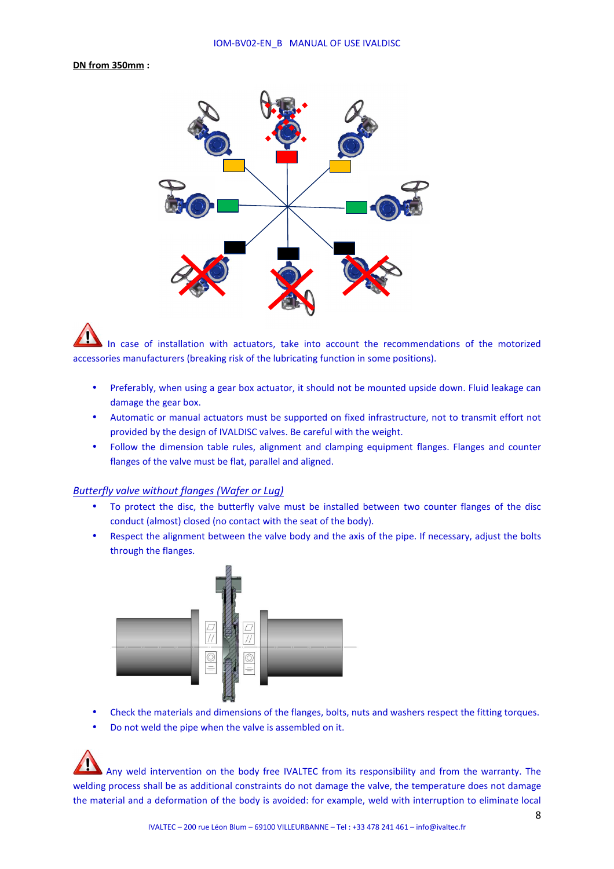#### **DN from 350mm :**



 In case of installation with actuators, take into account the recommendations of the motorized accessories manufacturers (breaking risk of the lubricating function in some positions).

- Preferably, when using a gear box actuator, it should not be mounted upside down. Fluid leakage can damage the gear box.
- Automatic or manual actuators must be supported on fixed infrastructure, not to transmit effort not provided by the design of IVALDISC valves. Be careful with the weight.
- Follow the dimension table rules, alignment and clamping equipment flanges. Flanges and counter flanges of the valve must be flat, parallel and aligned.

#### *Butterfly valve without flanges (Wafer or Lug)*

- To protect the disc, the butterfly valve must be installed between two counter flanges of the disc conduct (almost) closed (no contact with the seat of the body).
- Respect the alignment between the valve body and the axis of the pipe. If necessary, adjust the bolts through the flanges.



- Check the materials and dimensions of the flanges, bolts, nuts and washers respect the fitting torques.
- Do not weld the pipe when the valve is assembled on it.

 Any weld intervention on the body free IVALTEC from its responsibility and from the warranty. The welding process shall be as additional constraints do not damage the valve, the temperature does not damage the material and a deformation of the body is avoided: for example, weld with interruption to eliminate local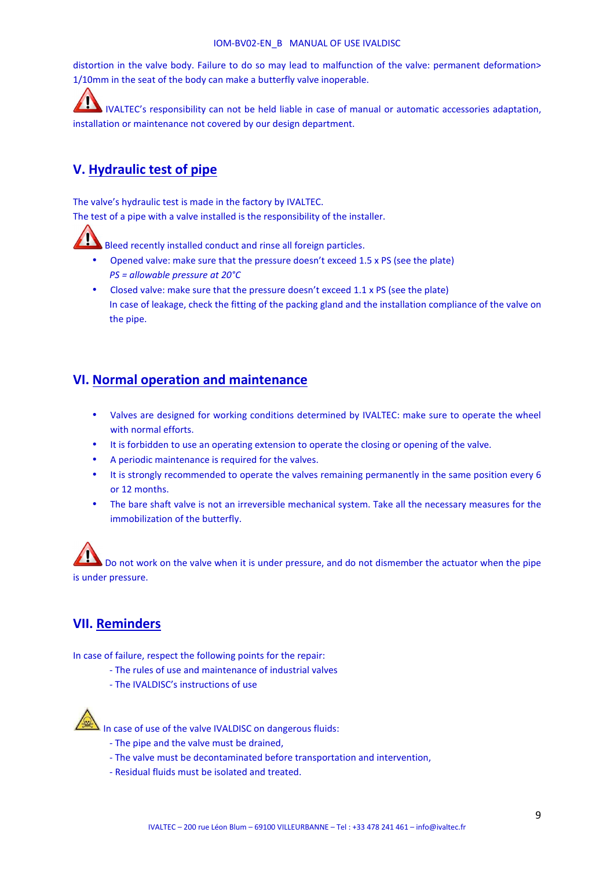distortion in the valve body. Failure to do so may lead to malfunction of the valve: permanent deformation> 1/10mm in the seat of the body can make a butterfly valve inoperable.

IVALTEC's responsibility can not be held liable in case of manual or automatic accessories adaptation, installation or maintenance not covered by our design department.

# **V. Hydraulic test of pipe**

The valve's hydraulic test is made in the factory by IVALTEC.

The test of a pipe with a valve installed is the responsibility of the installer.



- Opened valve: make sure that the pressure doesn't exceed 1.5 x PS (see the plate) *PS = allowable pressure at 20°C*
- Closed valve: make sure that the pressure doesn't exceed 1.1 x PS (see the plate) In case of leakage, check the fitting of the packing gland and the installation compliance of the valve on the pipe.

# **VI. Normal operation and maintenance**

- Valves are designed for working conditions determined by IVALTEC: make sure to operate the wheel with normal efforts.
- It is forbidden to use an operating extension to operate the closing or opening of the valve.
- A periodic maintenance is required for the valves.
- It is strongly recommended to operate the valves remaining permanently in the same position every 6 or 12 months.
- The bare shaft valve is not an irreversible mechanical system. Take all the necessary measures for the immobilization of the butterfly.

 Do not work on the valve when it is under pressure, and do not dismember the actuator when the pipe is under pressure.

# **VII. Reminders**

In case of failure, respect the following points for the repair:

- The rules of use and maintenance of industrial valves
- The IVALDISC's instructions of use



In case of use of the valve IVALDISC on dangerous fluids:

- The pipe and the valve must be drained,
- The valve must be decontaminated before transportation and intervention,
- Residual fluids must be isolated and treated.